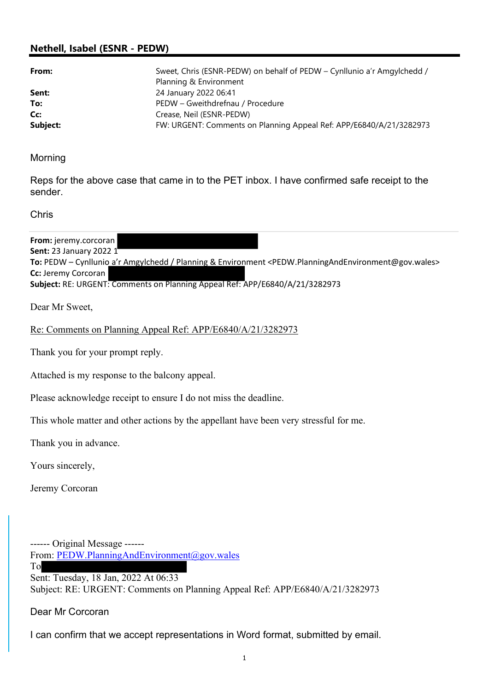## Nethell, Isabel (ESNR - PEDW)

| From:    | Sweet, Chris (ESNR-PEDW) on behalf of PEDW - Cynllunio a'r Amgylchedd /<br>Planning & Environment |
|----------|---------------------------------------------------------------------------------------------------|
| Sent:    | 24 January 2022 06:41                                                                             |
| To:      | PEDW - Gweithdrefnau / Procedure                                                                  |
| Cc:      | Crease, Neil (ESNR-PEDW)                                                                          |
| Subject: | FW: URGENT: Comments on Planning Appeal Ref: APP/E6840/A/21/3282973                               |

Morning

Reps for the above case that came in to the PET inbox. I have confirmed safe receipt to the sender.

Chris

From: jeremy.corcoran Sent: 23 January 2022 1 To: PEDW – Cynllunio a'r Amgylchedd / Planning & Environment <PEDW.PlanningAndEnvironment@gov.wales> Cc: Jeremy Corcoran Subject: RE: URGENT: Comments on Planning Appeal Ref: APP/E6840/A/21/3282973

Dear Mr Sweet,

Re: Comments on Planning Appeal Ref: APP/E6840/A/21/3282973

Thank you for your prompt reply.

Attached is my response to the balcony appeal.

Please acknowledge receipt to ensure I do not miss the deadline.

This whole matter and other actions by the appellant have been very stressful for me.

Thank you in advance.

Yours sincerely,

Jeremy Corcoran

------ Original Message ------ From: PEDW.PlanningAndEnvironment@gov.wales To Sent: Tuesday, 18 Jan, 2022 At 06:33

Subject: RE: URGENT: Comments on Planning Appeal Ref: APP/E6840/A/21/3282973

Dear Mr Corcoran

I can confirm that we accept representations in Word format, submitted by email.